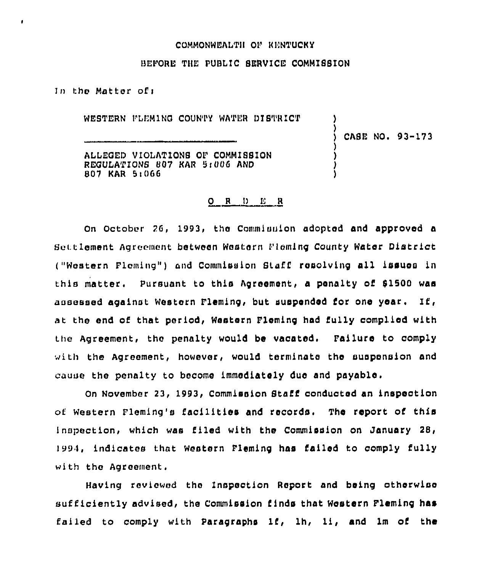## COMMONWEALTII OF KENTUCKY

## BEFORE THE PUBLIC SERVICE COMMISSION

In the Matter of:

ń

WESTERN FLEMING COUNTY WATER DISTRICT

ALLEGED VIOLATIONS OF COMMISSION REGULATIONS 807 KAR 5:006 AND 807 KAR 5t066

) CABE NO <sup>~</sup> 93-173

) )

) ) ) )

## 0 <sup>R</sup> )) L" <sup>R</sup>

On October 26, 1993, the Commission adopted and approved a Settlement Agreement between Western Fleming County Water District ("Western Fleming") and Commission Staff resolving all issues in this matter. Pursuant to this Agreement, a penalty of 51500 waa assessed against Western Fleming, but suspended for one year. If, at the end of that period, Western Flaming had fully complied with the Agreement, the penalty would be vacated. Failure to comply with the Agreement, however, would terminate the suspension and cauue the penalty to become immediately duc and payable,

On November 23, 1993, Commission Staff conducted an inspection of Western Fleming's facilities and records. The report of this inspection, which was filed with the Commission on January 28, )991, indicates that Western pleming has failed to comply fully with the Agreement,

Having reviewed the Inspection Report and being otherwise sufficiently advised, the Commission finds that Western Fleming has failed to comply with Paragraphs lf, lh, li, and lm of the